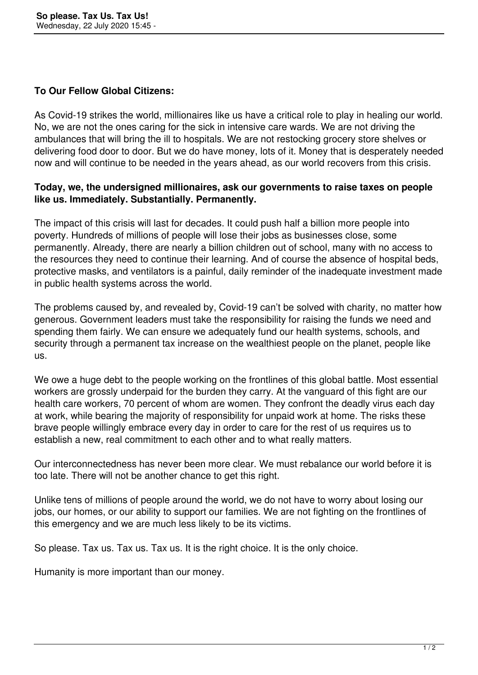## **To Our Fellow Global Citizens:**

As Covid-19 strikes the world, millionaires like us have a critical role to play in healing our world. No, we are not the ones caring for the sick in intensive care wards. We are not driving the ambulances that will bring the ill to hospitals. We are not restocking grocery store shelves or delivering food door to door. But we do have money, lots of it. Money that is desperately needed now and will continue to be needed in the years ahead, as our world recovers from this crisis.

## **Today, we, the undersigned millionaires, ask our governments to raise taxes on people like us. Immediately. Substantially. Permanently.**

The impact of this crisis will last for decades. It could push half a billion more people into poverty. Hundreds of millions of people will lose their jobs as businesses close, some permanently. Already, there are nearly a billion children out of school, many with no access to the resources they need to continue their learning. And of course the absence of hospital beds, protective masks, and ventilators is a painful, daily reminder of the inadequate investment made in public health systems across the world.

The problems caused by, and revealed by, Covid-19 can't be solved with charity, no matter how generous. Government leaders must take the responsibility for raising the funds we need and spending them fairly. We can ensure we adequately fund our health systems, schools, and security through a permanent tax increase on the wealthiest people on the planet, people like us.

We owe a huge debt to the people working on the frontlines of this global battle. Most essential workers are grossly underpaid for the burden they carry. At the vanguard of this fight are our health care workers, 70 percent of whom are women. They confront the deadly virus each day at work, while bearing the majority of responsibility for unpaid work at home. The risks these brave people willingly embrace every day in order to care for the rest of us requires us to establish a new, real commitment to each other and to what really matters.

Our interconnectedness has never been more clear. We must rebalance our world before it is too late. There will not be another chance to get this right.

Unlike tens of millions of people around the world, we do not have to worry about losing our jobs, our homes, or our ability to support our families. We are not fighting on the frontlines of this emergency and we are much less likely to be its victims.

So please. Tax us. Tax us. Tax us. It is the right choice. It is the only choice.

Humanity is more important than our money.